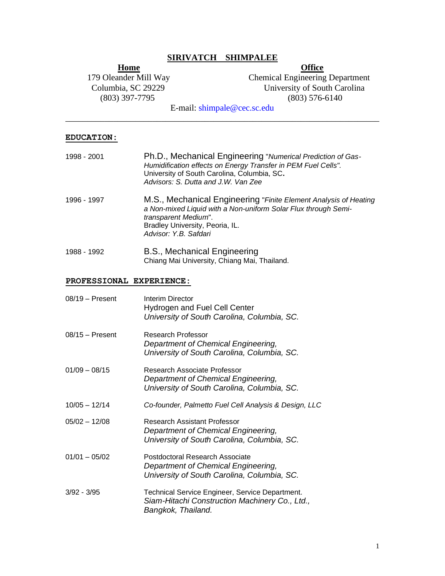# **SIRIVATCH SHIMPALEE**

**Home**<br>179 Oleander Mill Way Chemical Engineering (803) 397-7795

**Chemical Engineering Department** Columbia, SC 29229 University of South Carolina<br>
(803) 397-7795 (803) 576-6140

E-mail: shimpale@cec.sc.edu \_\_\_\_\_\_\_\_\_\_\_\_\_\_\_\_\_\_\_\_\_\_\_\_\_\_\_\_\_\_\_\_\_\_\_\_\_\_\_\_\_\_\_\_\_\_\_\_\_\_\_\_\_\_\_\_\_\_\_\_\_\_\_\_\_\_\_\_\_\_\_\_

#### **EDUCATION:**

| 1998 - 2001 | Ph.D., Mechanical Engineering "Numerical Prediction of Gas-<br>Humidification effects on Energy Transfer in PEM Fuel Cells".<br>University of South Carolina, Columbia, SC.<br>Advisors: S. Dutta and J.W. Van Zee     |
|-------------|------------------------------------------------------------------------------------------------------------------------------------------------------------------------------------------------------------------------|
| 1996 - 1997 | M.S., Mechanical Engineering "Finite Element Analysis of Heating<br>a Non-mixed Liquid with a Non-uniform Solar Flux through Semi-<br>transparent Medium".<br>Bradley University, Peoria, IL.<br>Advisor: Y.B. Safdari |
| 1988 - 1992 | B.S., Mechanical Engineering                                                                                                                                                                                           |

Chiang Mai University, Chiang Mai, Thailand.

## **PROFESSIONAL EXPERIENCE:**

| $08/19$ – Present | Interim Director<br>Hydrogen and Fuel Cell Center<br>University of South Carolina, Columbia, SC.                        |
|-------------------|-------------------------------------------------------------------------------------------------------------------------|
| $08/15 -$ Present | Research Professor<br>Department of Chemical Engineering,<br>University of South Carolina, Columbia, SC.                |
| $01/09 - 08/15$   | Research Associate Professor<br>Department of Chemical Engineering,<br>University of South Carolina, Columbia, SC.      |
| $10/05 - 12/14$   | Co-founder, Palmetto Fuel Cell Analysis & Design, LLC                                                                   |
| $05/02 - 12/08$   | Research Assistant Professor<br>Department of Chemical Engineering,<br>University of South Carolina, Columbia, SC.      |
| $01/01 - 05/02$   | Postdoctoral Research Associate<br>Department of Chemical Engineering,<br>University of South Carolina, Columbia, SC.   |
| $3/92 - 3/95$     | Technical Service Engineer, Service Department.<br>Siam-Hitachi Construction Machinery Co., Ltd.,<br>Bangkok, Thailand. |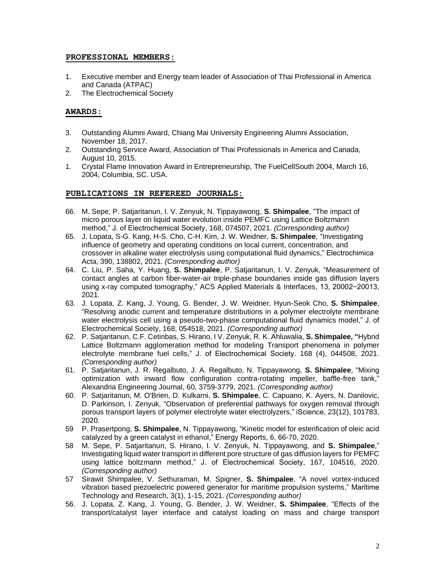#### **PROFESSIONAL MEMBERS:**

- 1. Executive member and Energy team leader of Association of Thai Professional in America and Canada (ATPAC)
- 2. The Electrochemical Society

## **AWARDS:**

- 3. Outstanding Alumni Award, Chiang Mai University Engineering Alumni Association, November 18, 2017.
- 2. Outstanding Service Award, Association of Thai Professionals in America and Canada, August 10, 2015.
- 1. Crystal Flame Innovation Award in Entrepreneurship, The FuelCellSouth 2004, March 16, 2004, Columbia, SC. USA.

## **PUBLICATIONS IN REFEREED JOURNALS:**

- 66. M. Sepe, P. Satjaritanun, I. V. Zenyuk, N. Tippayawong, **S. Shimpalee**, "The impact of micro porous layer on liquid water evolution inside PEMFC using Lattice Boltzmann method," J. of Electrochemical Society, 168, 074507, 2021. *(Corresponding author)*
- 65. J. Lopata, S-G. Kang, H-S. Cho, C-H. Kim, J. W. Weidner, **S. Shimpalee**, "Investigating influence of geometry and operating conditions on local current, concentration, and crossover in alkaline water electrolysis using computational fluid dynamics," Electrochimica Acta, 390, 138802, 2021. *(Corresponding author)*
- 64. C. Liu, P. Saha, Y. Huang, **S. Shimpalee**, P. Satjaritanun, I. V. Zenyuk, "Measurement of contact angles at carbon fiber-water-air triple-phase boundaries inside gas diffusion layers using x-ray computed tomography," ACS Applied Materials & Interfaces, 13, 20002−20013, 2021.
- 63. J. Lopata, Z. Kang, J. Young, G. Bender, J. W. Weidner, Hyun-Seok Cho, **S. Shimpalee**, "Resolving anodic current and temperature distributions in a polymer electrolyte membrane water electrolysis cell using a pseudo-two-phase computational fluid dynamics model," J. of Electrochemical Society, 168, 054518, 2021. *(Corresponding author)*
- 62. P. Satjaritanun, C.F. Cetinbas, S. Hirano, I V. Zenyuk, R. K. Ahluwalia, **S. Shimpalee, "**Hybrid Lattice Boltzmann agglomeration method for modeling Transport phenomena in polymer electrolyte membrane fuel cells," J. of Electrochemical Society. 168 (4), 044508, 2021. *(Corresponding author)*
- 61. P. Satjaritanun, J. R. Regalbuto, J. A. Regalbuto, N. Tippayawong, **S. Shimpalee**, "Mixing optimization with inward flow configuration contra-rotating impeller, baffle-free tank," Alexandria Engineering Journal, 60, 3759-3779, 2021. *(Corresponding author)*
- 60. P. Satjaritanun, M. O'Brien, D. Kulkarni, **S. Shimpalee**, C. Capuano, K. Ayers, N. Danilovic, D. Parkinson, I. Zenyuk, "Observation of preferential pathways for oxygen removal through porous transport layers of polymer electrolyte water electrolyzers," iScience, 23(12), 101783, 2020.
- 59 P. Prasertpong, **S. Shimpalee**, N. Tippayawong, "Kinetic model for esterification of oleic acid catalyzed by a green catalyst in ethanol," Energy Reports, 6, 66-70, 2020.
- 58 M. Sepe, P. Satjaritanun, S. Hirano, I. V. Zenyuk, N. Tippayawong, and **S. Shimpalee**," Investigating liquid water transport in different pore structure of gas diffusion layers for PEMFC using lattice boltzmann method," J. of Electrochemical Society, 167, 104516, 2020. *(Corresponding author)*
- 57 Sirawit Shimpalee, V. Sethuraman, M. Spigner, **S. Shimpalee**, "A novel vortex-induced vibration based piezoelectric powered generator for maritime propulsion systems," Maritime Technology and Research, 3(1), 1-15, 2021. *(Corresponding author)*
- 56. J. Lopata, Z. Kang, J. Young, G. Bender, J. W. Weidner, **S. Shimpalee**, "Effects of the transport/catalyst layer interface and catalyst loading on mass and charge transport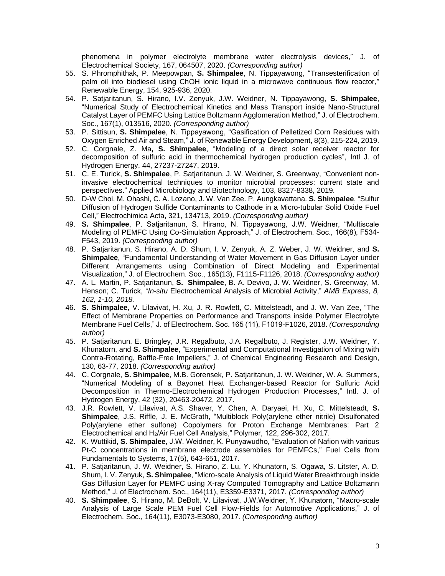phenomena in polymer electrolyte membrane water electrolysis devices," J. of Electrochemical Society, 167, 064507, 2020. *(Corresponding author)*

- 55. S. Phromphithak, P. Meepowpan, **S. Shimpalee**, N. Tippayawong, "Transesterification of palm oil into biodiesel using ChOH ionic liquid in a microwave continuous flow reactor," Renewable Energy, 154, 925-936, 2020.
- 54. P. Satjaritanun, S. Hirano, I.V. Zenyuk, J.W. Weidner, N. Tippayawong, **S. Shimpalee**, "Numerical Study of Electrochemical Kinetics and Mass Transport inside Nano-Structural Catalyst Layer of PEMFC Using Lattice Boltzmann Agglomeration Method," J. of Electrochem. Soc., 167(1), 013516, 2020. *(Corresponding author)*
- 53. P. Sittisun, **S. Shimpalee**, N. Tippayawong, "Gasification of Pelletized Corn Residues with Oxygen Enriched Air and Steam," J. of Renewable Energy Development, 8(3), 215-224, 2019.
- 52. C. Corgnale, Z. Ma**, S. Shimpalee**, "Modeling of a direct solar receiver reactor for decomposition of sulfuric acid in thermochemical hydrogen production cycles", Intl J. of Hydrogen Energy, 44, 27237-27247, 2019.
- 51. C. E. Turick, **S. Shimpalee**, P. Satjaritanun, J. W. Weidner, S. Greenway, "Convenient noninvasive electrochemical techniques to monitor microbial processes: current state and perspectives." Applied Microbiology and Biotechnology, 103, 8327-8338, 2019.
- 50. D-W Choi, M. Ohashi, C. A. Lozano, J. W. Van Zee. P. Aungkavattana. **S. Shimpalee**, "Sulfur Diffusion of Hydrogen Sulfide Contaminants to Cathode in a Micro-tubular Solid Oxide Fuel Cell," Electrochimica Acta, 321, 134713, 2019. *(Corresponding author)*
- 49. **S. Shimpalee**, P. Satjaritanun, S. Hirano, N. Tippayawong, J.W. Weidner, "Multiscale Modeling of PEMFC Using Co-Simulation Approach," J. of Electrochem. Soc., 166(8), F534- F543, 2019. *(Corresponding author)*
- 48. P. Satjaritanun, S. Hirano, A. D. Shum, I. V. Zenyuk, A. Z. Weber, J. W. Weidner, and **S. Shimpalee**, "Fundamental Understanding of Water Movement in Gas Diffusion Layer under Different Arrangements using Combination of Direct Modeling and Experimental Visualization," J. of Electrochem. Soc., 165(13), F1115-F1126, 2018. *(Corresponding author)*
- 47. A. L. Martin, P. Satjaritanun, **S. Shimpalee**, B. A. Devivo, J. W. Weidner, S. Greenway, M. Henson; C. Turick, "*In-situ* Electrochemical Analysis of Microbial Activity," *AMB Express, 8, 162, 1-10, 2018.*
- 46. **S. Shimpalee**, V. Lilavivat, H. Xu, J. R. Rowlett, C. Mittelsteadt, and J. W. Van Zee, "The Effect of Membrane Properties on Performance and Transports inside Polymer Electrolyte Membrane Fuel Cells," J. of Electrochem. Soc. 165 (11), F1019-F1026, 2018. *(Corresponding author)*
- 45. P. Satjaritanun, E. Bringley, J.R. Regalbuto, J.A. Regalbuto, J. Register, J.W. Weidner, Y. Khunatorn, and **S. Shimpalee**, "Experimental and Computational Investigation of Mixing with Contra-Rotating, Baffle-Free Impellers," J. of Chemical Engineering Research and Design, 130, 63-77, 2018. *(Corresponding author)*
- 44. C. Corgnale, **S. Shimpalee**, M.B. Gorensek, P. Satjaritanun, J. W. Weidner, W. A. Summers, "Numerical Modeling of a Bayonet Heat Exchanger-based Reactor for Sulfuric Acid Decomposition in Thermo-Electrochemical Hydrogen Production Processes," Intl. J. of Hydrogen Energy, 42 (32), 20463-20472, 2017.
- 43. J.R. Rowlett, V. Lilavivat, A.S. Shaver, Y. Chen, A. Daryaei, H. Xu, C. Mittelsteadt, **S. Shimpalee**, J.S. Riffle, J. E. McGrath, "Multiblock Poly(arylene ether nitrile) Disulfonated Poly(arylene ether sulfone) Copolymers for Proton Exchange Membranes: Part 2 Electrochemical and H2/Air Fuel Cell Analysis," Polymer, 122, 296-302, 2017.
- 42. K. Wuttikid, **S. Shimpalee**, J.W. Weidner, K. Punyawudho, "Evaluation of Nafion with various Pt-C concentrations in membrane electrode assemblies for PEMFCs," Fuel Cells from Fundamentals to Systems, 17(5), 643-651, 2017.
- 41. P. Satjaritanun, J. W. Weidner, S. Hirano, Z. Lu, Y. Khunatorn, S. Ogawa, S. Litster, A. D. Shum, I. V. Zenyuk, **S. Shimpalee**, "Micro-scale Analysis of Liquid Water Breakthrough inside Gas Diffusion Layer for PEMFC using X-ray Computed Tomography and Lattice Boltzmann Method," J. of Electrochem. Soc., 164(11), E3359-E3371, 2017. *(Corresponding author)*
- 40. **S. Shimpalee**, S. Hirano, M. DeBolt, V. Lilavivat, J.W.Weidner, Y. Khunatorn, "Macro-scale Analysis of Large Scale PEM Fuel Cell Flow-Fields for Automotive Applications," J. of Electrochem. Soc., 164(11), E3073-E3080, 2017. *(Corresponding author)*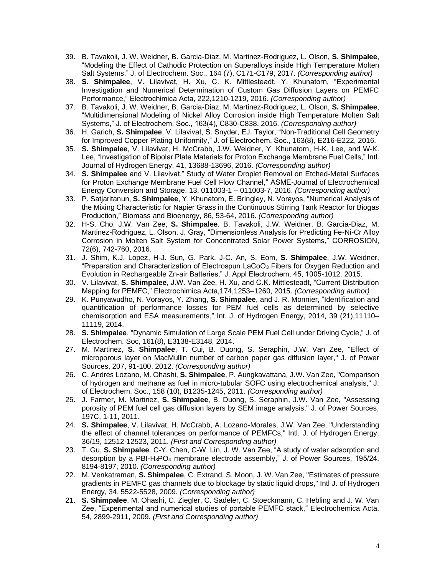- 39. B. Tavakoli, J. W. Weidner, B. Garcia-Diaz, M. Martinez-Rodriguez, L. Olson, **S. Shimpalee**, "Modeling the Effect of Cathodic Protection on Superalloys inside High Temperature Molten Salt Systems," J. of Electrochem. Soc., 164 (7), C171-C179, 2017. *(Corresponding author)*
- 38. **S. Shimpalee**, V. Lilavivat, H. Xu, C. K. Mittlesteadt, Y. Khunatorn, "Experimental Investigation and Numerical Determination of Custom Gas Diffusion Layers on PEMFC Performance," Electrochimica Acta, 222,1210-1219, 2016. *(Corresponding author)*
- 37. B. Tavakoli, J. W. Weidner, B. Garcia-Diaz, M. Martinez-Rodriguez, L. Olson, **S. Shimpalee**, "Multidimensional Modeling of Nickel Alloy Corrosion inside High Temperature Molten Salt Systems," J. of Electrochem. Soc., 163(4), C830-C838, 2016. *(Corresponding author)*
- 36. H. Garich, **S. Shimpalee**, V. Lilavivat, S. Snyder, EJ. Taylor, "Non-Traditional Cell Geometry for Improved Copper Plating Uniformity," J. of Electrochem. Soc., 163(8), E216-E222, 2016.
- 35. **S. Shimpalee**, V. Lilavivat, H. McCrabb, J.W. Weidner, Y. Khunatorn, H-K. Lee, and W-K. Lee, "Investigation of Bipolar Plate Materials for Proton Exchange Membrane Fuel Cells," Intl. Journal of Hydrogen Energy, 41, 13688-13696, 2016. *(Corresponding author)*
- 34. **S. Shimpalee** and V. Lilavivat," Study of Water Droplet Removal on Etched-Metal Surfaces for Proton Exchange Membrane Fuel Cell Flow Channel," ASME-Journal of Electrochemical Energy Conversion and Storage, 13, 011003-1 – 011003-7, 2016. *(Corresponding author)*
- 33. P. Satjaritanun, **S. Shimpalee**, Y. Khunatorn, E. Bringley, N. Vorayos, "Numerical Analysis of the Mixing Characteristic for Napier Grass in the Continuous Stirring Tank Reactor for Biogas Production," Biomass and Bioenergy, 86, 53-64, 2016. *(Corresponding author)*
- 32. H-S. Cho, J.W. Van Zee, **S. Shimpalee**. B. Tavakoli, J.W. Weidner, B. Garcia-Diaz, M. Martinez-Rodriguez, L. Olson, J. Gray, "Dimensionless Analysis for Predicting Fe-Ni-Cr Alloy Corrosion in Molten Salt System for Concentrated Solar Power Systems," CORROSION, 72(6), 742-760, 2016.
- 31. J. Shim, K.J. Lopez, H-J. Sun, G. Park, J-C. An, S. Eom, **S. Shimpalee**, J.W. Weidner, "Preparation and Characterization of Electrospun LaCoO<sub>3</sub> Fibers for Oxygen Reduction and Evolution in Rechargeable Zn-air Batteries," J. Appl Electrochem, 45, 1005-1012, 2015.
- 30. V. Lilavivat, **S. Shimpalee**, J.W. Van Zee, H. Xu, and C.K. Mittlesteadt, "Current Distribution Mapping for PEMFC," Electrochimica Acta,174,1253–1260, 2015. *(Corresponding author)*
- 29. K. Punyawudho, N. Vorayos, Y. Zhang, **S. Shimpalee**, and J. R. Monnier, "Identification and quantification of performance losses for PEM fuel cells as determined by selective chemisorption and ESA measurements," Int. J. of Hydrogen Energy, 2014, 39 (21),11110– 11119, 2014.
- 28. **S. Shimpalee**, "Dynamic Simulation of Large Scale PEM Fuel Cell under Driving Cycle," J. of Electrochem. Soc, 161(8), E3138-E3148, 2014.
- 27. M. Martinez, **S. Shimpalee**, T. Cui, B. Duong, S. Seraphin, J.W. Van Zee, "Effect of microporous layer on MacMullin number of carbon paper gas diffusion layer," J. of Power Sources, 207, 91-100, 2012. *(Corresponding author)*
- 26. C. Andres Lozano, M. Ohashi, **S. Shimpalee**, P. Aungkavattana, J.W. Van Zee, "Comparison of hydrogen and methane as fuel in micro-tubular SOFC using electrochemical analysis," J. of Electrochem. Soc., 158 (10), B1235-1245, 2011. *(Corresponding author)*
- 25. J. Farmer, M. Martinez, **S. Shimpalee**, B. Duong, S. Seraphin, J.W. Van Zee, "Assessing porosity of PEM fuel cell gas diffusion layers by SEM image analysis," J. of Power Sources, 197C, 1-11, 2011.
- 24. **S. Shimpalee**, V. Lilavivat, H. McCrabb, A. Lozano-Morales, J.W. Van Zee, "Understanding the effect of channel tolerances on performance of PEMFCs," Intl. J. of Hydrogen Energy, 36/19, 12512-12523, 2011. *(First and Corresponding author)*
- 23. T. Gu, **S. Shimpalee**. C-Y. Chen, C-W. Lin, J. W. Van Zee, "A study of water adsorption and desorption by a PBI-H3PO<sup>4</sup> membrane electrode assembly," J. of Power Sources, 195/24, 8194-8197, 2010. *(Corresponding author)*
- 22. M. Venkatraman, **S. Shimpalee**, C. Extrand, S. Moon, J. W. Van Zee, "Estimates of pressure gradients in PEMFC gas channels due to blockage by static liquid drops," Intl J. of Hydrogen Energy, 34, 5522-5528, 2009. *(Corresponding author)*
- 21. **S. Shimpalee**, M. Ohashi, C. Ziegler, C. Sadeler, C. Stoeckmann, C. Hebling and J. W. Van Zee, "Experimental and numerical studies of portable PEMFC stack," Electrochemica Acta, 54, 2899-2911, 2009. *(First and Corresponding author)*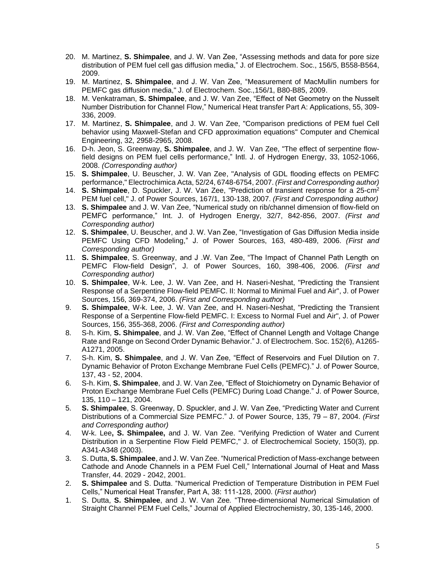- 20. M. Martinez, **S. Shimpalee**, and J. W. Van Zee, "Assessing methods and data for pore size distribution of PEM fuel cell gas diffusion media," J. of Electrochem. Soc., 156/5, B558-B564, 2009.
- 19. M. Martinez, **S. Shimpalee**, and J. W. Van Zee, "Measurement of MacMullin numbers for PEMFC gas diffusion media," J. of Electrochem. Soc.,156/1, B80-B85, 2009.
- 18. M. Venkatraman, **S. Shimpalee**, and J. W. Van Zee, "Effect of Net Geometry on the Nusselt Number Distribution for Channel Flow," Numerical Heat transfer Part A: Applications, 55, 309- 336, 2009.
- 17. M. Martinez, **S. Shimpalee**, and J. W. Van Zee, "Comparison predictions of PEM fuel Cell behavior using Maxwell-Stefan and CFD approximation equations" Computer and Chemical Engineering, 32, 2958-2965, 2008.
- 16. D-h. Jeon, S. Greenway, **S. Shimpalee**, and J. W. Van Zee, "The effect of serpentine flowfield designs on PEM fuel cells performance," Intl. J. of Hydrogen Energy, 33, 1052-1066, 2008. *(Corresponding author)*
- 15. **S. Shimpalee**, U. Beuscher, J. W. Van Zee, "Analysis of GDL flooding effects on PEMFC performance," Electrochimica Acta, 52/24, 6748-6754, 2007. *(First and Corresponding author)*
- 14. **S. Shimpalee**, D. Spuckler, J. W. Van Zee, "Prediction of transient response for a 25-cm<sup>2</sup> PEM fuel cell," J. of Power Sources, 167/1, 130-138, 2007. *(First and Corresponding author)*
- 13. **S. Shimpalee** and J. W. Van Zee, "Numerical study on rib/channel dimension of flow-field on PEMFC performance," Int. J. of Hydrogen Energy, 32/7, 842-856, 2007. *(First and Corresponding author)*
- 12. **S. Shimpalee**, U. Beuscher, and J. W. Van Zee, "Investigation of Gas Diffusion Media inside PEMFC Using CFD Modeling," J. of Power Sources, 163, 480-489, 2006. *(First and Corresponding author)*
- 11. **S. Shimpalee**, S. Greenway, and J .W. Van Zee, "The Impact of Channel Path Length on PEMFC Flow-field Design", J. of Power Sources, 160, 398-406, 2006. *(First and Corresponding author)*
- 10. **S. Shimpalee**, W-k. Lee, J. W. Van Zee, and H. Naseri-Neshat, "Predicting the Transient Response of a Serpentine Flow-field PEMFC. II: Normal to Minimal Fuel and Air", J. of Power Sources, 156, 369-374, 2006. *(First and Corresponding author)*
- 9. **S. Shimpalee**, W-k. Lee, J. W. Van Zee, and H. Naseri-Neshat, "Predicting the Transient Response of a Serpentine Flow-field PEMFC. I: Excess to Normal Fuel and Air", J. of Power Sources, 156, 355-368, 2006. *(First and Corresponding author)*
- 8. S-h. Kim, **S. Shimpalee**, and J. W. Van Zee, "Effect of Channel Length and Voltage Change Rate and Range on Second Order Dynamic Behavior." J. of Electrochem. Soc. 152(6), A1265- A1271, 2005.
- 7. S-h. Kim, **S. Shimpalee**, and J. W. Van Zee, "Effect of Reservoirs and Fuel Dilution on 7. Dynamic Behavior of Proton Exchange Membrane Fuel Cells (PEMFC)." J. of Power Source, 137, 43 - 52, 2004.
- 6. S-h. Kim, **S. Shimpalee**, and J. W. Van Zee, "Effect of Stoichiometry on Dynamic Behavior of Proton Exchange Membrane Fuel Cells (PEMFC) During Load Change." J. of Power Source, 135, 110 – 121, 2004.
- 5. **S. Shimpalee**, S. Greenway, D. Spuckler, and J. W. Van Zee, "Predicting Water and Current Distributions of a Commercial Size PEMFC." J. of Power Source, 135, 79 – 87, 2004. *(First and Corresponding author)*
- 4. W-k. Lee**, S. Shimpalee,** and J. W. Van Zee. "Verifying Prediction of Water and Current Distribution in a Serpentine Flow Field PEMFC," J. of Electrochemical Society, 150(3), pp. A341-A348 (2003).
- 3. S. Dutta, **S. Shimpalee**, and J. W. Van Zee. "Numerical Prediction of Mass-exchange between Cathode and Anode Channels in a PEM Fuel Cell," International Journal of Heat and Mass Transfer, 44. 2029 - 2042, 2001.
- 2. **S. Shimpalee** and S. Dutta. "Numerical Prediction of Temperature Distribution in PEM Fuel Cells," Numerical Heat Transfer, Part A, 38: 111-128, 2000. (*First author*)
- 1. S. Dutta, **S. Shimpalee**, and J. W. Van Zee*.* "Three-dimensional Numerical Simulation of Straight Channel PEM Fuel Cells," Journal of Applied Electrochemistry, 30, 135-146, 2000.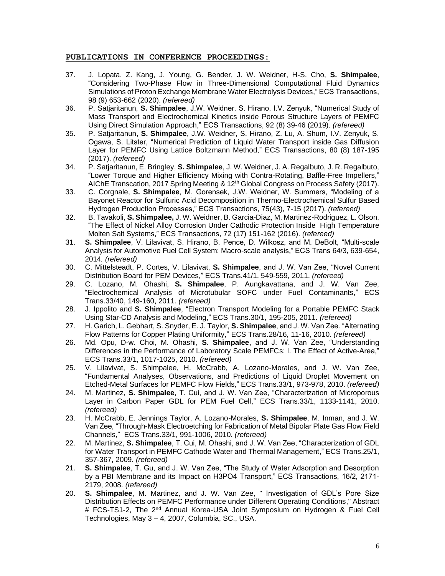#### **PUBLICATIONS IN CONFERENCE PROCEEDINGS:**

- 37. J. Lopata, Z. Kang, J. Young, G. Bender, J. W. Weidner, H-S. Cho, **S. Shimpalee**, "Considering Two-Phase Flow in Three-Dimensional Computational Fluid Dynamics Simulations of Proton Exchange Membrane Water Electrolysis Devices," ECS Transactions, 98 (9) 653-662 (2020). *(refereed)*
- 36. P. Satjaritanun, **S. Shimpalee**, J.W. Weidner, S. Hirano, I.V. Zenyuk, "Numerical Study of Mass Transport and Electrochemical Kinetics inside Porous Structure Layers of PEMFC Using Direct Simulation Approach," ECS Transactions, 92 (8) 39-46 (2019). *(refereed)*
- 35. P. Satjaritanun, **S. Shimpalee**, J.W. Weidner, S. Hirano, Z. Lu, A. Shum, I.V. Zenyuk, S. Ogawa, S. Litster, "Numerical Prediction of Liquid Water Transport inside Gas Diffusion Layer for PEMFC Using Lattice Boltzmann Method," ECS Transactions, 80 (8) 187-195 (2017). *(refereed)*
- 34. P. Satjaritanun, E. Bringley, **S. Shimpalee**, J. W. Weidner, J. A. Regalbuto, J. R. Regalbuto, "Lower Torque and Higher Efficiency Mixing with Contra-Rotating, Baffle-Free Impellers," AIChE Transcation, 2017 Spring Meeting & 12th Global Congress on Process Safety (2017).
- 33. C. Corgnale, **S. Shimpalee**, M. Gorensek, J.W. Weidner, W. Summers, "Modeling of a Bayonet Reactor for Sulfuric Acid Decomposition in Thermo-Electrochemical Sulfur Based Hydrogen Production Processes," ECS Transactions, 75(43), 7-15 (2017). *(refereed)*
- 32. B. Tavakoli, **S. Shimpalee,** J. W. Weidner, B. Garcia-Diaz, M. Martinez-Rodriguez, L. Olson, "The Effect of Nickel Alloy Corrosion Under Cathodic Protection Inside High Temperature Molten Salt Systems," ECS Transactions, 72 (17) 151-162 (2016). *(refereed)*
- 31. **S. Shimpalee**, V. Lilavivat, S. Hirano, B. Pence, D. Wilkosz, and M. DeBolt, "Multi-scale Analysis for Automotive Fuel Cell System: Macro-scale analysis," ECS Trans 64/3, 639-654, 2014*. (refereed)*
- 30. C. Mittelsteadt, P. Cortes, V. Lilavivat, **S. Shimpalee**, and J. W. Van Zee, "Novel Current Distribution Board for PEM Devices," ECS Trans.41/1, 549-559, 2011. *(refereed)*
- 29. C. Lozano, M. Ohashi, **S. Shimpalee**, P. Aungkavattana, and J. W. Van Zee, "Electrochemical Analysis of Microtubular SOFC under Fuel Contaminants," ECS Trans.33/40, 149-160, 2011. *(refereed)*
- 28. J. Ippolito and **S. Shimpalee**, "Electron Transport Modeling for a Portable PEMFC Stack Using Star-CD Analysis and Modeling," ECS Trans.30/1, 195-205, 2011. *(refereed)*
- 27. H. Garich, L. Gebhart, S. Snyder, E. J. Taylor, **S. Shimpalee**, and J. W. Van Zee. "Alternating Flow Patterns for Copper Plating Uniformity," ECS Trans.28/16, 11-16, 2010. *(refereed)*
- 26. Md. Opu, D-w. Choi, M. Ohashi, **S. Shimpalee**, and J. W. Van Zee, "Understanding Differences in the Performance of Laboratory Scale PEMFCs: I. The Effect of Active-Area," ECS Trans.33/1, 1017-1025, 2010. *(refereed)*
- 25. V. Lilavivat, S. Shimpalee, H. McCrabb, A. Lozano-Morales, and J. W. Van Zee, "Fundamental Analyses, Observations, and Predictions of Liquid Droplet Movement on Etched-Metal Surfaces for PEMFC Flow Fields," ECS Trans.33/1, 973-978, 2010. *(refereed)*
- 24. M. Martinez, **S. Shimpalee**, T. Cui, and J. W. Van Zee, "Characterization of Microporous Layer in Carbon Paper GDL for PEM Fuel Cell," ECS Trans.33/1, 1133-1141, 2010. *(refereed)*
- 23. H. McCrabb, E. Jennings Taylor, A. Lozano-Morales, **S. Shimpalee**, M. Inman, and J. W. Van Zee, "Through-Mask Electroetching for Fabrication of Metal Bipolar Plate Gas Flow Field Channels," ECS Trans.33/1, 991-1006, 2010. *(refereed)*
- 22. M. Martinez, **S. Shimpalee**, T. Cui, M. Ohashi, and J. W. Van Zee, "Characterization of GDL for Water Transport in PEMFC Cathode Water and Thermal Management," ECS Trans.25/1, 357-367, 2009. *(refereed)*
- 21. **S. Shimpalee**, T. Gu, and J. W. Van Zee, "The Study of Water Adsorption and Desorption by a PBI Membrane and its Impact on H3PO4 Transport," ECS Transactions, 16/2, 2171- 2179, 2008. *(refereed)*
- 20. **S. Shimpalee**, M. Martinez, and J. W. Van Zee, " Investigation of GDL's Pore Size Distribution Effects on PEMFC Performance under Different Operating Conditions," Abstract # FCS-TS1-2, The 2<sup>nd</sup> Annual Korea-USA Joint Symposium on Hydrogen & Fuel Cell Technologies, May 3 – 4, 2007, Columbia, SC., USA.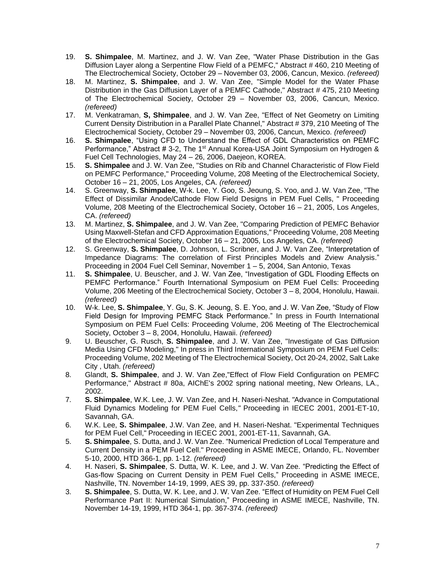- 19. **S. Shimpalee**, M. Martinez, and J. W. Van Zee, "Water Phase Distribution in the Gas Diffusion Layer along a Serpentine Flow Field of a PEMFC," Abstract # 460, 210 Meeting of The Electrochemical Society, October 29 – November 03, 2006, Cancun, Mexico. *(refereed)*
- 18. M. Martinez, **S. Shimpalee**, and J. W. Van Zee, "Simple Model for the Water Phase Distribution in the Gas Diffusion Layer of a PEMFC Cathode," Abstract # 475, 210 Meeting of The Electrochemical Society, October 29 – November 03, 2006, Cancun, Mexico. *(refereed)*
- 17. M. Venkatraman, **S, Shimpalee**, and J. W. Van Zee, "Effect of Net Geometry on Limiting Current Density Distribution in a Parallel Plate Channel," Abstract # 379, 210 Meeting of The Electrochemical Society, October 29 – November 03, 2006, Cancun, Mexico. *(refereed)*
- 16. **S. Shimpalee**, "Using CFD to Understand the Effect of GDL Characteristics on PEMFC Performance," Abstract # 3-2, The 1<sup>st</sup> Annual Korea-USA Joint Symposium on Hydrogen & Fuel Cell Technologies, May 24 – 26, 2006, Daejeon, KOREA.
- 15. **S. Shimpalee** and J. W. Van Zee, "Studies on Rib and Channel Characteristic of Flow Field on PEMFC Performance," Proceeding Volume, 208 Meeting of the Electrochemical Society, October 16 – 21, 2005, Los Angeles, CA. *(refereed)*
- 14. S. Greenway, **S. Shimpalee**, W-k. Lee, Y. Goo, S. Jeoung, S. Yoo, and J. W. Van Zee, "The Effect of Dissimilar Anode/Cathode Flow Field Designs in PEM Fuel Cells, " Proceeding Volume, 208 Meeting of the Electrochemical Society, October 16 – 21, 2005, Los Angeles, CA. *(refereed)*
- 13. M. Martinez, **S. Shimpalee**, and J. W. Van Zee, "Comparing Prediction of PEMFC Behavior Using Maxwell-Stefan and CFD Approximation Equations," Proceeding Volume, 208 Meeting of the Electrochemical Society, October 16 – 21, 2005, Los Angeles, CA. *(refereed)*
- 12. S. Greenway, **S. Shimpalee**, D. Johnson, L. Scribner, and J. W. Van Zee, "Interpretation of Impedance Diagrams: The correlation of First Principles Models and Zview Analysis." Proceeding in 2004 Fuel Cell Seminar, November 1 – 5, 2004, San Antonio, Texas
- 11. **S. Shimpalee**, U. Beuscher, and J. W. Van Zee, "Investigation of GDL Flooding Effects on PEMFC Performance." Fourth International Symposium on PEM Fuel Cells: Proceeding Volume, 206 Meeting of the Electrochemical Society, October 3 – 8, 2004, Honolulu, Hawaii. *(refereed)*
- 10. W-k. Lee, **S. Shimpalee**, Y. Gu, S. K. Jeoung, S. E. Yoo, and J. W. Van Zee, "Study of Flow Field Design for Improving PEMFC Stack Performance." In press in Fourth International Symposium on PEM Fuel Cells: Proceeding Volume, 206 Meeting of The Electrochemical Society, October 3 – 8, 2004, Honolulu, Hawaii. *(refereed)*
- 9. U. Beuscher, G. Rusch, **S. Shimpalee**, and J. W. Van Zee, "Investigate of Gas Diffusion Media Using CFD Modeling," In press in Third International Symposium on PEM Fuel Cells: Proceeding Volume, 202 Meeting of The Electrochemical Society, Oct 20-24, 2002, Salt Lake City , Utah. *(refereed)*
- 8. Glandt, **S. Shimpalee**, and J. W. Van Zee,"Effect of Flow Field Configuration on PEMFC Performance," Abstract # 80a, AIChE's 2002 spring national meeting, New Orleans, LA., 2002.
- 7. **S. Shimpalee**, W.K. Lee, J. W. Van Zee, and H. Naseri-Neshat. *"*Advance in Computational Fluid Dynamics Modeling for PEM Fuel Cells,*"* Proceeding in IECEC 2001, 2001-ET-10, Savannah, GA.
- 6. W.K. Lee, **S. Shimpalee**, J.W. Van Zee, and H. Naseri-Neshat. "Experimental Techniques for PEM Fuel Cell," Proceeding in IECEC 2001, 2001-ET-11, Savannah, GA.
- 5. **S. Shimpalee**, S. Dutta, and J. W. Van Zee. "Numerical Prediction of Local Temperature and Current Density in a PEM Fuel Cell." Proceeding in ASME IMECE, Orlando, FL. November 5-10, 2000, HTD 366-1, pp. 1-12. *(refereed)*
- 4. H. Naseri, **S. Shimpalee**, S. Dutta, W. K. Lee, and J. W. Van Zee*.* "Predicting the Effect of Gas-flow Spacing on Current Density in PEM Fuel Cells," Proceeding in ASME IMECE, Nashville, TN. November 14-19, 1999, AES 39, pp. 337-350. *(refereed)*
- 3. **S. Shimpalee**, S. Dutta, W. K. Lee, and J. W. Van Zee. "Effect of Humidity on PEM Fuel Cell Performance Part II: Numerical Simulation," Proceeding in ASME IMECE, Nashville, TN. November 14-19, 1999, HTD 364-1, pp. 367-374. *(refereed)*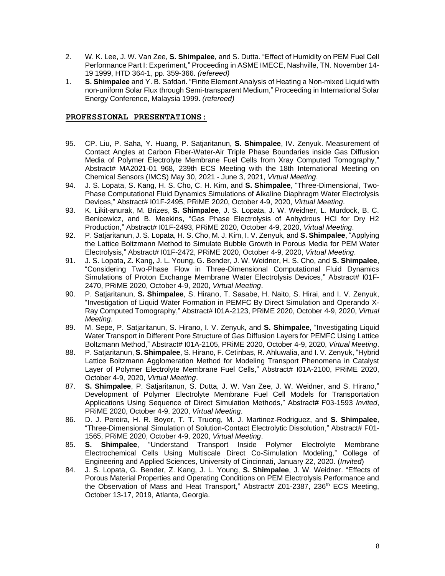- 2. W. K. Lee, J. W. Van Zee, **S. Shimpalee**, and S. Dutta*.* "Effect of Humidity on PEM Fuel Cell Performance Part I: Experiment," Proceeding in ASME IMECE, Nashville, TN. November 14- 19 1999, HTD 364-1, pp. 359-366. *(refereed)*
- 1. **S. Shimpalee** and Y. B. Safdari. "Finite Element Analysis of Heating a Non-mixed Liquid with non-uniform Solar Flux through Semi-transparent Medium," Proceeding in International Solar Energy Conference, Malaysia 1999. *(refereed)*

#### **PROFESSIONAL PRESENTATIONS:**

- 95. CP. Liu, P. Saha, Y. Huang, P. Satjaritanun, **S. Shimpalee**, IV. Zenyuk. Measurement of Contact Angles at Carbon Fiber-Water-Air Triple Phase Boundaries inside Gas Diffusion Media of Polymer Electrolyte Membrane Fuel Cells from Xray Computed Tomography," Abstract# MA2021-01 968, 239th ECS Meeting with the 18th International Meeting on Chemical Sensors (IMCS) May 30, 2021 - June 3, 2021, *Virtual Meeting*.
- 94. J. S. Lopata, S. Kang, H. S. Cho, C. H. Kim, and **S. Shimpalee**, "Three-Dimensional, Two-Phase Computational Fluid Dynamics Simulations of Alkaline Diaphragm Water Electrolysis Devices," Abstract# I01F-2495, PRiME 2020, October 4-9, 2020, *Virtual Meeting*.
- 93. K. Likit-anurak, M. Brizes, **S. Shimpalee**, J. S. Lopata, J. W. Weidner, L. Murdock, B. C. Benicewicz, and B. Meekins, "Gas Phase Electrolysis of Anhydrous HCl for Dry H2 Production," Abstract# I01F-2493, PRiME 2020, October 4-9, 2020, *Virtual Meeting*.
- 92. P. Satjaritanun, J. S. Lopata, H. S. Cho, M. J. Kim, I. V. Zenyuk, and **S. Shimpalee**, "Applying the Lattice Boltzmann Method to Simulate Bubble Growth in Porous Media for PEM Water Electrolysis," Abstract# I01F-2472, PRiME 2020, October 4-9, 2020, *Virtual Meeting*.
- 91. J. S. Lopata, Z. Kang, J. L. Young, G. Bender, J. W. Weidner, H. S. Cho, and **S. Shimpalee**, "Considering Two-Phase Flow in Three-Dimensional Computational Fluid Dynamics Simulations of Proton Exchange Membrane Water Electrolysis Devices," Abstract# I01F-2470, PRiME 2020, October 4-9, 2020, *Virtual Meeting*.
- 90. P. Satjaritanun, **S. Shimpalee**, S. Hirano, T. Sasabe, H. Naito, S. Hirai, and I. V. Zenyuk, "Investigation of Liquid Water Formation in PEMFC By Direct Simulation and Operando X-Ray Computed Tomography," Abstract# I01A-2123, PRiME 2020, October 4-9, 2020, *Virtual Meeting*.
- 89. M. Sepe, P. Satjaritanun, S. Hirano, I. V. Zenyuk, and **S. Shimpalee**, "Investigating Liquid Water Transport in Different Pore Structure of Gas Diffusion Layers for PEMFC Using Lattice Boltzmann Method," Abstract# I01A-2105, PRiME 2020, October 4-9, 2020, *Virtual Meeting*.
- 88. P. Satjaritanun, **S. Shimpalee**, S. Hirano, F. Cetinbas, R. Ahluwalia, and I. V. Zenyuk, "Hybrid Lattice Boltzmann Agglomeration Method for Modeling Transport Phenomena in Catalyst Layer of Polymer Electrolyte Membrane Fuel Cells," Abstract# 101A-2100, PRIME 2020, October 4-9, 2020, *Virtual Meeting*.
- 87. **S. Shimpalee**, P. Satjaritanun, S. Dutta, J. W. Van Zee, J. W. Weidner, and S. Hirano," Development of Polymer Electrolyte Membrane Fuel Cell Models for Transportation Applications Using Sequence of Direct Simulation Methods," Abstract# F03-1593 *Invited*, PRiME 2020, October 4-9, 2020, *Virtual Meeting*.
- 86. D. J. Pereira, H. R. Boyer, T. T. Truong, M. J. Martinez-Rodriguez, and **S. Shimpalee**, "Three-Dimensional Simulation of Solution-Contact Electrolytic Dissolution," Abstract# F01- 1565, PRiME 2020, October 4-9, 2020, *Virtual Meeting*.
- 85. **S. Shimpalee**, "Understand Transport Inside Polymer Electrolyte Membrane Electrochemical Cells Using Multiscale Direct Co-Simulation Modeling," College of Engineering and Applied Sciences, University of Cincinnati, January 22, 2020. (*Invited*)
- 84. J. S. Lopata, G. Bender, Z. Kang, J. L. Young, **S. Shimpalee**, J. W. Weidner. "Effects of Porous Material Properties and Operating Conditions on PEM Electrolysis Performance and the Observation of Mass and Heat Transport," Abstract# Z01-2387, 236<sup>th</sup> ECS Meeting, October 13-17, 2019, Atlanta, Georgia.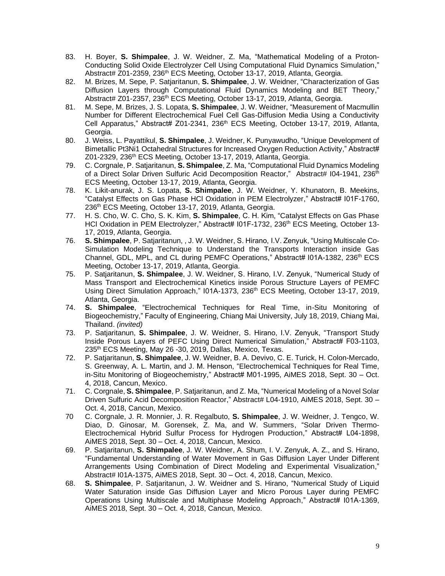- 83. H. Boyer, **S. Shimpalee**, J. W. Weidner, Z. Ma, "Mathematical Modeling of a Proton-Conducting Solid Oxide Electrolyzer Cell Using Computational Fluid Dynamics Simulation," Abstract# Z01-2359, 236th ECS Meeting, October 13-17, 2019, Atlanta, Georgia.
- 82. M. Brizes, M. Sepe, P. Satjaritanun, **S. Shimpalee**, J. W. Weidner, "Characterization of Gas Diffusion Layers through Computational Fluid Dynamics Modeling and BET Theory," Abstract# Z01-2357, 236th ECS Meeting, October 13-17, 2019, Atlanta, Georgia.
- 81. M. Sepe, M. Brizes, J. S. Lopata, **S. Shimpalee**, J. W. Weidner, "Measurement of Macmullin Number for Different Electrochemical Fuel Cell Gas-Diffusion Media Using a Conductivity Cell Apparatus," Abstract# Z01-2341, 236<sup>th</sup> ECS Meeting, October 13-17, 2019, Atlanta, Georgia.
- 80. J. Weiss, L. Payattikul, **S. Shimpalee**, J. Weidner, K. Punyawudho, "Unique Development of Bimetallic Pt3Ni1 Octahedral Structures for Increased Oxygen Reduction Activity," Abstract# Z01-2329, 236th ECS Meeting, October 13-17, 2019, Atlanta, Georgia.
- 79. C. Corgnale, P. Satjaritanun, **S. Shimpalee**, Z. Ma, "Computational Fluid Dynamics Modeling of a Direct Solar Driven Sulfuric Acid Decomposition Reactor," Abstract# 104-1941, 236<sup>th</sup> ECS Meeting, October 13-17, 2019, Atlanta, Georgia.
- 78. K. Likit-anurak, J. S. Lopata, **S. Shimpalee**, J. W. Weidner, Y. Khunatorn, B. Meekins, "Catalyst Effects on Gas Phase HCl Oxidation in PEM Electrolyzer," Abstract# I01F-1760, 236<sup>th</sup> ECS Meeting, October 13-17, 2019, Atlanta, Georgia.
- 77. H. S. Cho, W. C. Cho, S. K. Kim, **S. Shimpalee**, C. H. Kim, "Catalyst Effects on Gas Phase HCl Oxidation in PEM Electrolyzer," Abstract# I01F-1732, 236<sup>th</sup> ECS Meeting, October 13-17, 2019, Atlanta, Georgia.
- 76. **S. Shimpalee**, P. Satjaritanun, , J. W. Weidner, S. Hirano, I.V. Zenyuk, "Using Multiscale Co-Simulation Modeling Technique to Understand the Transports Interaction inside Gas Channel, GDL, MPL, and CL during PEMFC Operations," Abstract# I01A-1382, 236th ECS Meeting, October 13-17, 2019, Atlanta, Georgia.
- 75. P. Satjaritanun, **S. Shimpalee**, J. W. Weidner, S. Hirano, I.V. Zenyuk, "Numerical Study of Mass Transport and Electrochemical Kinetics inside Porous Structure Layers of PEMFC Using Direct Simulation Approach," I01A-1373, 236<sup>th</sup> ECS Meeting, October 13-17, 2019, Atlanta, Georgia.
- 74. **S. Shimpalee**, "Electrochemical Techniques for Real Time, in-Situ Monitoring of Biogeochemistry," Faculty of Engineering, Chiang Mai University, July 18, 2019, Chiang Mai, Thailand. *(invited)*
- 73. P. Satjaritanun, **S. Shimpalee**, J. W. Weidner, S. Hirano, I.V. Zenyuk, "Transport Study Inside Porous Layers of PEFC Using Direct Numerical Simulation," Abstract# F03-1103, 235<sup>th</sup> ECS Meeting, May 26 -30, 2019, Dallas, Mexico, Texas.
- 72. P. Satjaritanun, **S. Shimpalee**, J. W. Weidner, B. A. Devivo, C. E. Turick, H. Colon-Mercado, S. Greenway, A. L. Martin, and J. M. Henson, "Electrochemical Techniques for Real Time, in-Situ Monitoring of Biogeochemistry," Abstract# M01-1995, AiMES 2018, Sept. 30 – Oct. 4, 2018, Cancun, Mexico.
- 71. C. Corgnale, **S. Shimpalee**, P. Satjaritanun, and Z. Ma, "Numerical Modeling of a Novel Solar Driven Sulfuric Acid Decomposition Reactor," Abstract# L04-1910, AiMES 2018, Sept. 30 -Oct. 4, 2018, Cancun, Mexico.
- 70 C. Corgnale, J. R. Monnier, J. R. Regalbuto, **S. Shimpalee**, J. W. Weidner, J. Tengco, W. Diao, D. Ginosar, M. Gorensek, Z. Ma, and W. Summers, "Solar Driven Thermo-Electrochemical Hybrid Sulfur Process for Hydrogen Production," Abstract# L04-1898, AiMES 2018, Sept. 30 – Oct. 4, 2018, Cancun, Mexico.
- 69. P. Satjaritanun, **S. Shimpalee**, J. W. Weidner, A. Shum, I. V. Zenyuk, A. Z., and S. Hirano, "Fundamental Understanding of Water Movement in Gas Diffusion Layer Under Different Arrangements Using Combination of Direct Modeling and Experimental Visualization," Abstract# I01A-1375, AiMES 2018, Sept. 30 – Oct. 4, 2018, Cancun, Mexico.
- 68. **S. Shimpalee**, P. Satjaritanun, J. W. Weidner and S. Hirano, "Numerical Study of Liquid Water Saturation inside Gas Diffusion Layer and Micro Porous Layer during PEMFC Operations Using Multiscale and Multiphase Modeling Approach," Abstract# I01A-1369, AiMES 2018, Sept. 30 – Oct. 4, 2018, Cancun, Mexico.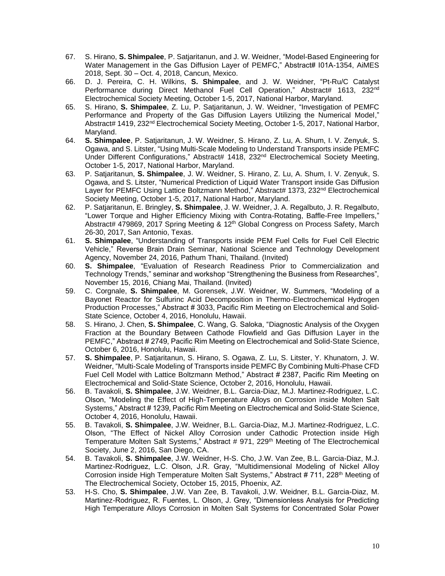- 67. S. Hirano, **S. Shimpalee**, P. Satjaritanun, and J. W. Weidner, "Model-Based Engineering for Water Management in the Gas Diffusion Laver of PEMFC." Abstract# 101A-1354, AIMES 2018, Sept. 30 – Oct. 4, 2018, Cancun, Mexico.
- 66. D. J. Pereira, C. H. Wilkins, **S. Shimpalee**, and J. W. Weidner, "Pt-Ru/C Catalyst Performance during Direct Methanol Fuel Cell Operation," Abstract# 1613, 232<sup>nd</sup> Electrochemical Society Meeting, October 1-5, 2017, National Harbor, Maryland.
- 65. S. Hirano, **S. Shimpalee**, Z. Lu, P. Satjaritanun, J. W. Weidner, "Investigation of PEMFC Performance and Property of the Gas Diffusion Layers Utilizing the Numerical Model," Abstract# 1419, 232<sup>nd</sup> Electrochemical Society Meeting, October 1-5, 2017, National Harbor, Maryland.
- 64. **S. Shimpalee**, P. Satjaritanun, J. W. Weidner, S. Hirano, Z. Lu, A. Shum, I. V. Zenyuk, S. Ogawa, and S. Litster, "Using Multi-Scale Modeling to Understand Transports inside PEMFC Under Different Configurations," Abstract# 1418, 232<sup>nd</sup> Electrochemical Society Meeting, October 1-5, 2017, National Harbor, Maryland.
- 63. P. Satjaritanun, **S. Shimpalee**, J. W. Weidner, S. Hirano, Z. Lu, A. Shum, I. V. Zenyuk, S. Ogawa, and S. Litster, "Numerical Prediction of Liquid Water Transport inside Gas Diffusion Layer for PEMFC Using Lattice Boltzmann Method," Abstract# 1373, 232<sup>nd</sup> Electrochemical Society Meeting, October 1-5, 2017, National Harbor, Maryland.
- 62. P. Satjaritanun, E. Bringley, **S. Shimpalee**, J. W. Weidner, J. A. Regalbuto, J. R. Regalbuto, "Lower Torque and Higher Efficiency Mixing with Contra-Rotating, Baffle-Free Impellers," Abstract# 479869, 2017 Spring Meeting & 12<sup>th</sup> Global Congress on Process Safety, March 26-30, 2017, San Antonio, Texas.
- 61. **S. Shimpalee**, "Understanding of Transports inside PEM Fuel Cells for Fuel Cell Electric Vehicle," Reverse Brain Drain Seminar, National Science and Technology Development Agency, November 24, 2016, Pathum Thani, Thailand. (Invited)
- 60. **S. Shimpalee**, "Evaluation of Research Readiness Prior to Commercialization and Technology Trends," seminar and workshop "Strengthening the Business from Researches", November 15, 2016, Chiang Mai, Thailand. (Invited)
- 59. C. Corgnale, **S. Shimpalee**, M. Gorensek, J.W. Weidner, W. Summers, "Modeling of a Bayonet Reactor for Sulfurinc Acid Decomposition in Thermo-Electrochemical Hydrogen Production Processes," Abstract # 3033, Pacific Rim Meeting on Electrochemical and Solid-State Science, October 4, 2016, Honolulu, Hawaii.
- 58. S. Hirano, J. Chen, **S. Shimpalee**, C. Wang, G. Saloka, "Diagnostic Analysis of the Oxygen Fraction at the Boundary Between Cathode Flowfield and Gas Diffusion Layer in the PEMFC," Abstract # 2749, Pacific Rim Meeting on Electrochemical and Solid-State Science, October 6, 2016, Honolulu, Hawaii.
- 57. **S. Shimpalee**, P. Satjaritanun, S. Hirano, S. Ogawa, Z. Lu, S. Litster, Y. Khunatorn, J. W. Weidner, "Multi-Scale Modeling of Transports inside PEMFC By Combining Multi-Phase CFD Fuel Cell Model with Lattice Boltzmann Method," Abstract # 2387, Pacific Rim Meeting on Electrochemical and Solid-State Science, October 2, 2016, Honolulu, Hawaii.
- 56. B. Tavakoli, **S. Shimpalee**, J.W. Weidner, B.L. Garcia-Diaz, M.J. Martinez-Rodriguez, L.C. Olson, "Modeling the Effect of High-Temperature Alloys on Corrosion inside Molten Salt Systems," Abstract # 1239, Pacific Rim Meeting on Electrochemical and Solid-State Science, October 4, 2016, Honolulu, Hawaii.
- 55. B. Tavakoli, **S. Shimpalee**, J.W. Weidner, B.L. Garcia-Diaz, M.J. Martinez-Rodriguez, L.C. Olson, "The Effect of Nickel Alloy Corrosion under Cathodic Protection inside High Temperature Molten Salt Systems," Abstract # 971, 229<sup>th</sup> Meeting of The Electrochemical Society, June 2, 2016, San Diego, CA.
- 54. B. Tavakoli, **S. Shimpalee**, J.W. Weidner, H-S. Cho, J.W. Van Zee, B.L. Garcia-Diaz, M.J. Martinez-Rodriguez, L.C. Olson, J.R. Gray, "Multidimensional Modeling of Nickel Alloy Corrosion inside High Temperature Molten Salt Systems," Abstract # 711, 228<sup>th</sup> Meeting of The Electrochemical Society, October 15, 2015, Phoenix, AZ.
- 53. H-S. Cho, **S. Shimpalee**, J.W. Van Zee, B. Tavakoli, J.W. Weidner, B.L. Garcia-Diaz, M. Martinez-Rodriguez, R. Fuentes, L. Olson, J. Grey, "Dimensionless Analysis for Predicting High Temperature Alloys Corrosion in Molten Salt Systems for Concentrated Solar Power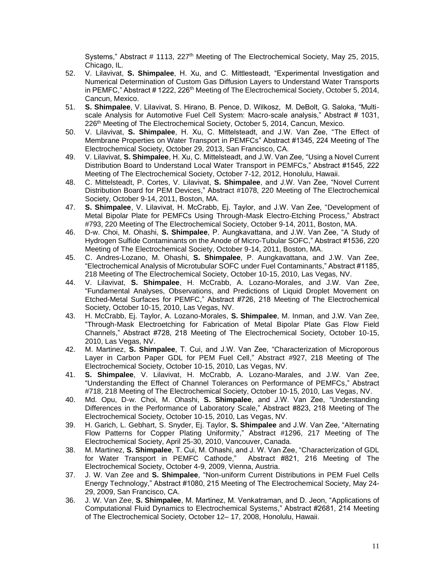Systems," Abstract # 1113, 227<sup>th</sup> Meeting of The Electrochemical Society, May 25, 2015, Chicago, IL.

- 52. V. Lilavivat, **S. Shimpalee**, H. Xu, and C. Mittlesteadt, "Experimental Investigation and Numerical Determination of Custom Gas Diffusion Layers to Understand Water Transports in PEMFC," Abstract # 1222, 226<sup>th</sup> Meeting of The Electrochemical Society, October 5, 2014, Cancun, Mexico.
- 51. **S. Shimpalee**, V. Lilavivat, S. Hirano, B. Pence, D. Wilkosz, M. DeBolt, G. Saloka, "Multiscale Analysis for Automotive Fuel Cell System: Macro-scale analysis," Abstract # 1031, 226<sup>th</sup> Meeting of The Electrochemical Society, October 5, 2014, Cancun, Mexico.
- 50. V. Lilavivat, **S. Shimpalee**, H. Xu, C. Mittelsteadt, and J.W. Van Zee, "The Effect of Membrane Properties on Water Transport in PEMFCs" Abstract #1345, 224 Meeting of The Electrochemical Society, October 29, 2013, San Francisco, CA.
- 49. V. Lilavivat, **S. Shimpalee**, H. Xu, C. Mittelsteadt, and J.W. Van Zee, "Using a Novel Current Distribution Board to Understand Local Water Transport in PEMFCs," Abstract #1545, 222 Meeting of The Electrochemical Society, October 7-12, 2012, Honolulu, Hawaii.
- 48. C. Mittelsteadt, P. Cortes, V. Lilavivat, **S. Shimpalee**, and J.W. Van Zee, "Novel Current Distribution Board for PEM Devices," Abstract #1078, 220 Meeting of The Electrochemical Society, October 9-14, 2011, Boston, MA.
- 47. **S. Shimpalee**, V. Lilavivat, H. McCrabb, Ej. Taylor, and J.W. Van Zee, "Development of Metal Bipolar Plate for PEMFCs Using Through-Mask Electro-Etching Process," Abstract #793, 220 Meeting of The Electrochemical Society, October 9-14, 2011, Boston, MA.
- 46. D-w. Choi, M. Ohashi, **S. Shimpalee**, P. Aungkavattana, and J.W. Van Zee, "A Study of Hydrogen Sulfide Contaminants on the Anode of Micro-Tubular SOFC," Abstract #1536, 220 Meeting of The Electrochemical Society, October 9-14, 2011, Boston, MA.
- 45. C. Andres-Lozano, M. Ohashi, **S. Shimpalee**, P. Aungkavattana, and J.W. Van Zee, "Electrochemical Analysis of Microtubular SOFC under Fuel Contaminants," Abstract #1185, 218 Meeting of The Electrochemical Society, October 10-15, 2010, Las Vegas, NV.
- 44. V. Lilavivat, **S. Shimpalee**, H. McCrabb, A. Lozano-Morales, and J.W. Van Zee, "Fundamental Analyses, Observations, and Predictions of Liquid Droplet Movement on Etched-Metal Surfaces for PEMFC," Abstract #726, 218 Meeting of The Electrochemical Society, October 10-15, 2010, Las Vegas, NV.
- 43. H. McCrabb, Ej. Taylor, A. Lozano-Morales, **S. Shimpalee**, M. Inman, and J.W. Van Zee, "Through-Mask Electroetching for Fabrication of Metal Bipolar Plate Gas Flow Field Channels," Abstract #728, 218 Meeting of The Electrochemical Society, October 10-15, 2010, Las Vegas, NV.
- 42. M. Martinez, **S. Shimpalee**, T. Cui, and J.W. Van Zee, "Characterization of Microporous Layer in Carbon Paper GDL for PEM Fuel Cell," Abstract #927, 218 Meeting of The Electrochemical Society, October 10-15, 2010, Las Vegas, NV.
- 41. **S. Shimpalee**, V. Lilavivat, H. McCrabb, A. Lozano-Marales, and J.W. Van Zee, "Understanding the Effect of Channel Tolerances on Performance of PEMFCs," Abstract #718, 218 Meeting of The Electrochemical Society, October 10-15, 2010, Las Vegas, NV.
- 40. Md. Opu, D-w. Choi, M. Ohashi, **S. Shimpalee**, and J.W. Van Zee, "Understanding Differences in the Performance of Laboratory Scale," Abstract #823, 218 Meeting of The Electrochemical Society, October 10-15, 2010, Las Vegas, NV.
- 39. H. Garich, L. Gebhart, S. Snyder, Ej. Taylor, **S. Shimpalee** and J.W. Van Zee, "Alternating Flow Patterns for Copper Plating Uniformity," Abstract #1296, 217 Meeting of The Electrochemical Society, April 25-30, 2010, Vancouver, Canada.
- 38. M. Martinez, **S. Shimpalee**, T. Cui, M. Ohashi, and J. W. Van Zee, "Characterization of GDL for Water Transport in PEMFC Cathode," Abstract #821, 216 Meeting of The Electrochemical Society, October 4-9, 2009, Vienna, Austria.
- 37. J. W. Van Zee and **S. Shimpalee**, "Non-uniform Current Distributions in PEM Fuel Cells Energy Technology," Abstract #1080, 215 Meeting of The Electrochemical Society, May 24- 29, 2009, San Francisco, CA.
- 36. J. W. Van Zee, **S. Shimpalee**, M. Martinez, M. Venkatraman, and D. Jeon, "Applications of Computational Fluid Dynamics to Electrochemical Systems," Abstract #2681, 214 Meeting of The Electrochemical Society, October 12– 17, 2008, Honolulu, Hawaii.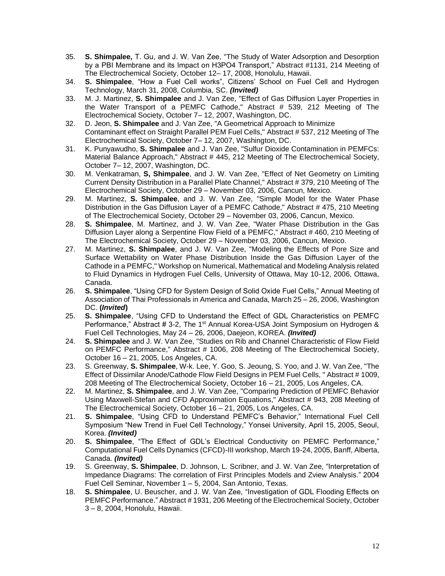- 35. **S. Shimpalee,** T. Gu, and J. W. Van Zee, "The Study of Water Adsorption and Desorption by a PBI Membrane and its Impact on H3PO4 Transport," Abstract #1131, 214 Meeting of The Electrochemical Society, October 12– 17, 2008, Honolulu, Hawaii.
- 34. **S. Shimpalee**, "How a Fuel Cell works", Citizens' School on Fuel Cell and Hydrogen Technology, March 31, 2008, Columbia, SC. *(Invited)*
- 33. M. J. Martinez, **S. Shimpalee** and J. Van Zee, "Effect of Gas Diffusion Layer Properties in the Water Transport of a PEMFC Cathode," Abstract # 539, 212 Meeting of The Electrochemical Society, October 7– 12, 2007, Washington, DC.
- 32. D. Jeon, **S. Shimpalee** and J. Van Zee, "A Geometrical Approach to Minimize Contaminant effect on Straight Parallel PEM Fuel Cells," Abstract # 537, 212 Meeting of The Electrochemical Society, October 7– 12, 2007, Washington, DC.
- 31. K. Punyawudho, **S. Shimpalee** and J. Van Zee, "Sulfur Dioxide Contamination in PEMFCs: Material Balance Approach," Abstract # 445, 212 Meeting of The Electrochemical Society, October 7– 12, 2007, Washington, DC.
- 30. M. Venkatraman, **S, Shimpalee**, and J. W. Van Zee, "Effect of Net Geometry on Limiting Current Density Distribution in a Parallel Plate Channel," Abstract # 379, 210 Meeting of The Electrochemical Society, October 29 – November 03, 2006, Cancun, Mexico.
- 29. M. Martinez, **S. Shimpalee**, and J. W. Van Zee, "Simple Model for the Water Phase Distribution in the Gas Diffusion Layer of a PEMFC Cathode," Abstract # 475, 210 Meeting of The Electrochemical Society, October 29 – November 03, 2006, Cancun, Mexico.
- 28. **S. Shimpalee**, M. Martinez, and J. W. Van Zee, "Water Phase Distribution in the Gas Diffusion Layer along a Serpentine Flow Field of a PEMFC," Abstract # 460, 210 Meeting of The Electrochemical Society, October 29 – November 03, 2006, Cancun, Mexico.
- 27. M. Martinez, **S. Shimpalee**, and J. W. Van Zee, "Modeling the Effects of Pore Size and Surface Wettability on Water Phase Distribution Inside the Gas Diffusion Layer of the Cathode in a PEMFC," Workshop on Numerical, Mathematical and Modeling Analysis related to Fluid Dynamics in Hydrogen Fuel Cells, University of Ottawa, May 10-12, 2006, Ottawa, Canada.
- 26. **S. Shimpalee**, "Using CFD for System Design of Solid Oxide Fuel Cells," Annual Meeting of Association of Thai Professionals in America and Canada, March 25 – 26, 2006, Washington DC. **(***Invited***)**
- 25. **S. Shimpalee**, "Using CFD to Understand the Effect of GDL Characteristics on PEMFC Performance," Abstract # 3-2, The 1<sup>st</sup> Annual Korea-USA Joint Symposium on Hydrogen & Fuel Cell Technologies, May 24 – 26, 2006, Daejeon, KOREA. *(Invited)*
- 24. **S. Shimpalee** and J. W. Van Zee, "Studies on Rib and Channel Characteristic of Flow Field on PEMFC Performance," Abstract # 1006, 208 Meeting of The Electrochemical Society, October 16 – 21, 2005, Los Angeles, CA.
- 23. S. Greenway, **S. Shimpalee**, W-k. Lee, Y. Goo, S. Jeoung, S. Yoo, and J. W. Van Zee, "The Effect of Dissimilar Anode/Cathode Flow Field Designs in PEM Fuel Cells, " Abstract # 1009, 208 Meeting of The Electrochemical Society, October 16 – 21, 2005, Los Angeles, CA.
- 22. M. Martinez, **S. Shimpalee**, and J. W. Van Zee, "Comparing Prediction of PEMFC Behavior Using Maxwell-Stefan and CFD Approximation Equations," Abstract # 943, 208 Meeting of The Electrochemical Society, October 16 – 21, 2005, Los Angeles, CA.
- 21. **S. Shimpalee**, "Using CFD to Understand PEMFC's Behavior," International Fuel Cell Symposium "New Trend in Fuel Cell Technology," Yonsei University, April 15, 2005, Seoul, Korea. *(Invited)*
- 20. **S. Shimpalee**, "The Effect of GDL's Electrical Conductivity on PEMFC Performance," Computational Fuel Cells Dynamics (CFCD)-III workshop, March 19-24, 2005, Banff, Alberta, Canada. *(Invited)*
- 19. S. Greenway, **S. Shimpalee**, D. Johnson, L. Scribner, and J. W. Van Zee, "Interpretation of Impedance Diagrams: The correlation of First Principles Models and Zview Analysis." 2004 Fuel Cell Seminar, November 1 – 5, 2004, San Antonio, Texas.
- 18. **S. Shimpalee**, U. Beuscher, and J. W. Van Zee, "Investigation of GDL Flooding Effects on PEMFC Performance." Abstract # 1931, 206 Meeting of the Electrochemical Society, October 3 – 8, 2004, Honolulu, Hawaii.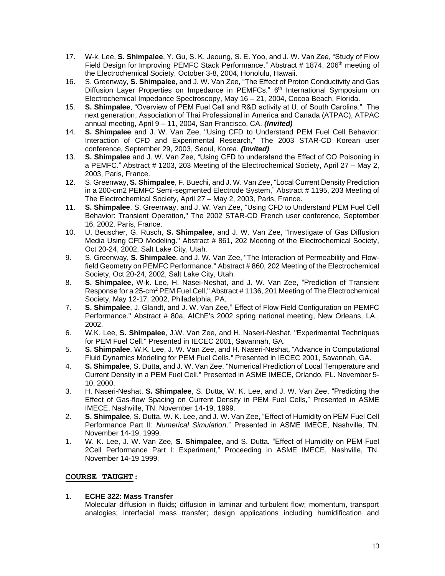- 17. W-k. Lee, **S. Shimpalee**, Y. Gu, S. K. Jeoung, S. E. Yoo, and J. W. Van Zee, "Study of Flow Field Design for Improving PEMFC Stack Performance." Abstract # 1874, 206<sup>th</sup> meeting of the Electrochemical Society, October 3-8, 2004, Honolulu, Hawaii.
- 16. S. Greenway, **S. Shimpalee**, and J. W. Van Zee, "The Effect of Proton Conductivity and Gas Diffusion Layer Properties on Impedance in PEMFCs." 6<sup>th</sup> International Symposium on Electrochemical Impedance Spectroscopy, May 16 – 21, 2004, Cocoa Beach, Florida.
- 15. **S. Shimpalee**, "Overview of PEM Fuel Cell and R&D activity at U. of South Carolina." The next generation, Association of Thai Professional in America and Canada (ATPAC), ATPAC annual meeting, April 9 – 11, 2004, San Francisco, CA. *(Invited)*
- 14. **S. Shimpalee** and J. W. Van Zee, "Using CFD to Understand PEM Fuel Cell Behavior: Interaction of CFD and Experimental Research," The 2003 STAR-CD Korean user conference, September 29, 2003, Seoul, Korea. *(Invited)*
- 13. **S. Shimpalee** and J. W. Van Zee, "Using CFD to understand the Effect of CO Poisoning in a PEMFC." Abstract # 1203, 203 Meeting of the Electrochemical Society, April 27 – May 2, 2003, Paris, France.
- 12. S. Greenway, **S. Shimpalee**, F. Buechi, and J. W. Van Zee, "Local Current Density Prediction in a 200-cm2 PEMFC Semi-segmented Electrode System," Abstract # 1195, 203 Meeting of The Electrochemical Society, April 27 – May 2, 2003, Paris, France.
- 11. **S. Shimpalee**, S. Greenway, and J. W. Van Zee, "Using CFD to Understand PEM Fuel Cell Behavior: Transient Operation," The 2002 STAR-CD French user conference, September 16, 2002, Paris, France.
- 10. U. Beuscher, G. Rusch, **S. Shimpalee**, and J. W. Van Zee, "Investigate of Gas Diffusion Media Using CFD Modeling." Abstract # 861, 202 Meeting of the Electrochemical Society, Oct 20-24, 2002, Salt Lake City, Utah.
- 9. S. Greenway, **S. Shimpalee**, and J. W. Van Zee, "The Interaction of Permeability and Flowfield Geometry on PEMFC Performance." Abstract # 860, 202 Meeting of the Electrochemical Society, Oct 20-24, 2002, Salt Lake City, Utah.
- 8. **S. Shimpalee**, W-k. Lee, H. Nasei-Neshat, and J. W. Van Zee, "Prediction of Transient Response for a 25-cm<sup>2</sup> PEM Fuel Cell," Abstract # 1136, 201 Meeting of The Electrochemical Society, May 12-17, 2002, Philadelphia, PA.
- 7. **S. Shimpalee**, J. Glandt, and J. W. Van Zee," Effect of Flow Field Configuration on PEMFC Performance." Abstract # 80a, AIChE's 2002 spring national meeting, New Orleans, LA., 2002.
- 6. W.K. Lee, **S. Shimpalee**, J.W. Van Zee, and H. Naseri-Neshat, "Experimental Techniques for PEM Fuel Cell." Presented in IECEC 2001, Savannah, GA.
- 5. **S. Shimpalee**, W.K. Lee, J. W. Van Zee, and H. Naseri-Neshat, "Advance in Computational Fluid Dynamics Modeling for PEM Fuel Cells." Presented in IECEC 2001, Savannah, GA.
- 4. **S. Shimpalee**, S. Dutta, and J. W. Van Zee. "Numerical Prediction of Local Temperature and Current Density in a PEM Fuel Cell." Presented in ASME IMECE, Orlando, FL. November 5- 10, 2000.
- 3. H. Naseri-Neshat, **S. Shimpalee**, S. Dutta, W. K. Lee, and J. W. Van Zee, "Predicting the Effect of Gas-flow Spacing on Current Density in PEM Fuel Cells," Presented in ASME IMECE, Nashville, TN. November 14-19, 1999.
- 2. **S. Shimpalee**, S. Dutta, W. K. Lee, and J. W. Van Zee, "Effect of Humidity on PEM Fuel Cell Performance Part II: *Numerical Simulation*." Presented in ASME IMECE, Nashville, TN. November 14-19, 1999.
- 1. W. K. Lee, J. W. Van Zee, **S. Shimpalee**, and S. Dutta*.* "Effect of Humidity on PEM Fuel 2Cell Performance Part I: Experiment," Proceeding in ASME IMECE, Nashville, TN. November 14-19 1999.

## **COURSE TAUGHT**:

## 1. **ECHE 322: Mass Transfer**

Molecular diffusion in fluids; diffusion in laminar and turbulent flow; momentum, transport analogies; interfacial mass transfer; design applications including humidification and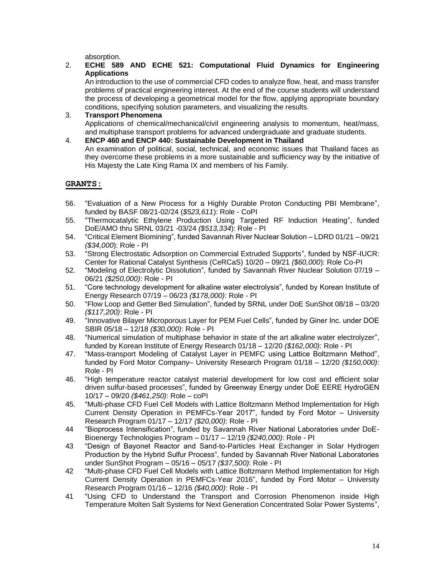absorption.

## 2. **ECHE 589 AND ECHE 521: Computational Fluid Dynamics for Engineering Applications**

An introduction to the use of commercial CFD codes to analyze flow, heat, and mass transfer problems of practical engineering interest. At the end of the course students will understand the process of developing a geometrical model for the flow, applying appropriate boundary conditions, specifying solution parameters, and visualizing the results.

3. **Transport Phenomena** Applications of chemical/mechanical/civil engineering analysis to momentum, heat/mass, and multiphase transport problems for advanced undergraduate and graduate students.

## 4. **ENCP 460 and ENCP 440: Sustainable Development in Thailand**

An examination of political, social, technical, and economic issues that Thailand faces as they overcome these problems in a more sustainable and sufficiency way by the initiative of His Majesty the Late King Rama IX and members of his Family.

## **GRANTS:**

- 56. "Evaluation of a New Process for a Highly Durable Proton Conducting PBI Membrane", funded by BASF 08/21-02/24 (*\$523,611*): Role - CoPI
- 55. "Thermocatalytic Ethylene Production Using Targeted RF Induction Heating", funded DoE/AMO thru SRNL 03/21 -03/24 *(\$513,334*): Role - PI
- 54. "Critical Element Biomining", funded Savannah River Nuclear Solution LDRD 01/21 09/21 *(\$34,000*): Role - PI
- 53. "Strong Electrostatic Adsorption on Commercial Extruded Supports", funded by NSF-IUCR: Center for Rational Catalyst Synthesis (CeRCaS) 10/20 – 09/21 *(\$60,000*): Role Co-PI
- 52. "Modeling of Electrolytic Dissolution", funded by Savannah River Nuclear Solution 07/19 06/21 *(\$250,000)*: Role - PI
- 51. "Core technology development for alkaline water electrolysis", funded by Korean Institute of Energy Research 07/19 – 06/23 *(\$178,000)*: Role - PI
- 50. "Flow Loop and Getter Bed Simulation", funded by SRNL under DoE SunShot 08/18 03/20 *(\$117,200)*: Role - PI
- 49. "Innovative Bilayer Microporous Layer for PEM Fuel Cells", funded by Giner Inc. under DOE SBIR 05/18 – 12/18 *(\$30,000)*: Role - PI
- 48. "Numerical simulation of multiphase behavior in state of the art alkaline water electrolyzer", funded by Korean Institute of Energy Research 01/18 – 12/20 *(\$162,000)*: Role - PI
- 47. "Mass-transport Modeling of Catalyst Layer in PEMFC using Lattice Boltzmann Method", funded by Ford Motor Company– University Research Program 01/18 – 12/20 *(\$150,000)*: Role - PI
- 46. "High temperature reactor catalyst material development for low cost and efficient solar driven sulfur-based processes", funded by Greenway Energy under DoE EERE HydroGEN 10/17 – 09/20 *(\$461,250)*: Role – coPI
- 45. "Multi-phase CFD Fuel Cell Models with Lattice Boltzmann Method Implementation for High Current Density Operation in PEMFCs-Year 2017", funded by Ford Motor – University Research Program 01/17 – 12/17 *(\$20,000)*: Role - PI
- 44 "Bioprocess Intensification", funded by Savannah River National Laboratories under DoE-Bioenergy Technologies Program – 01/17 – 12/19 *(\$240,000)*: Role - PI
- 43 "Design of Bayonet Reactor and Sand-to-Particles Heat Exchanger in Solar Hydrogen Production by the Hybrid Sulfur Process", funded by Savannah River National Laboratories under SunShot Program – 05/16 – 05/17 *(\$37,500)*: Role - PI
- 42 "Multi-phase CFD Fuel Cell Models with Lattice Boltzmann Method Implementation for High Current Density Operation in PEMFCs-Year 2016", funded by Ford Motor – University Research Program 01/16 – 12/16 *(\$40,000)*: Role - PI
- 41 "Using CFD to Understand the Transport and Corrosion Phenomenon inside High Temperature Molten Salt Systems for Next Generation Concentrated Solar Power Systems",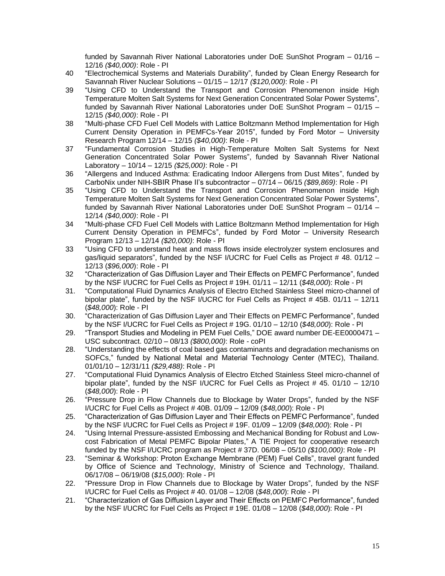funded by Savannah River National Laboratories under DoE SunShot Program – 01/16 – 12/16 *(\$40,000)*: Role - PI

- 40 "Electrochemical Systems and Materials Durability", funded by Clean Energy Research for Savannah River Nuclear Solutions – 01/15 – 12/17 *(\$120,000)*: Role - PI
- 39 "Using CFD to Understand the Transport and Corrosion Phenomenon inside High Temperature Molten Salt Systems for Next Generation Concentrated Solar Power Systems", funded by Savannah River National Laboratories under DoE SunShot Program – 01/15 – 12/15 *(\$40,000)*: Role - PI
- 38 "Multi-phase CFD Fuel Cell Models with Lattice Boltzmann Method Implementation for High Current Density Operation in PEMFCs-Year 2015", funded by Ford Motor – University Research Program 12/14 – 12/15 *(\$40,000)*: Role - PI
- 37 "Fundamental Corrosion Studies in High-Temperature Molten Salt Systems for Next Generation Concentrated Solar Power Systems", funded by Savannah River National Laboratory – 10/14 – 12/15 *(\$25,000)*: Role - PI
- 36 "Allergens and Induced Asthma: Eradicating Indoor Allergens from Dust Mites", funded by CarboNix under NIH-SBIR Phase II's subcontractor – 07/14 – 06/15 *(\$89,869)*: Role - PI
- 35 "Using CFD to Understand the Transport and Corrosion Phenomenon inside High Temperature Molten Salt Systems for Next Generation Concentrated Solar Power Systems", funded by Savannah River National Laboratories under DoE SunShot Program – 01/14 – 12/14 *(\$40,000)*: Role - PI
- 34 "Multi-phase CFD Fuel Cell Models with Lattice Boltzmann Method Implementation for High Current Density Operation in PEMFCs", funded by Ford Motor – University Research Program 12/13 – 12/14 *(\$20,000)*: Role - PI
- 33 "Using CFD to understand heat and mass flows inside electrolyzer system enclosures and gas/liquid separators", funded by the NSF I/UCRC for Fuel Cells as Project # 48. 01/12 – 12/13 (*\$96,000*): Role - PI
- 32 "Characterization of Gas Diffusion Layer and Their Effects on PEMFC Performance", funded by the NSF I/UCRC for Fuel Cells as Project # 19H. 01/11 – 12/11 (*\$48,000*): Role - PI
- 31. "Computational Fluid Dynamics Analysis of Electro Etched Stainless Steel micro-channel of bipolar plate", funded by the NSF I/UCRC for Fuel Cells as Project # 45B. 01/11 – 12/11 (*\$48,000*): Role - PI
- 30. "Characterization of Gas Diffusion Layer and Their Effects on PEMFC Performance", funded by the NSF I/UCRC for Fuel Cells as Project # 19G. 01/10 – 12/10 (*\$48,000*): Role - PI
- 29. "Transport Studies and Modeling in PEM Fuel Cells," DOE award number DE-EE0000471 USC subcontract. 02/10 – 08/13 *(\$800,000)*: Role - coPI
- 28. "Understanding the effects of coal based gas contaminants and degradation mechanisms on SOFCs," funded by National Metal and Material Technology Center (MTEC), Thailand. 01/01/10 – 12/31/11 *(\$29,488)*: Role - PI
- 27. "Computational Fluid Dynamics Analysis of Electro Etched Stainless Steel micro-channel of bipolar plate", funded by the NSF I/UCRC for Fuel Cells as Project # 45. 01/10 – 12/10 (*\$48,000*): Role - PI
- 26. "Pressure Drop in Flow Channels due to Blockage by Water Drops", funded by the NSF I/UCRC for Fuel Cells as Project # 40B. 01/09 – 12/09 (*\$48,000*): Role - PI
- 25. "Characterization of Gas Diffusion Layer and Their Effects on PEMFC Performance", funded by the NSF I/UCRC for Fuel Cells as Project # 19F. 01/09 – 12/09 (*\$48,000*): Role - PI
- 24. "Using Internal Pressure-assisted Embossing and Mechanical Bonding for Robust and Lowcost Fabrication of Metal PEMFC Bipolar Plates," A TIE Project for cooperative research funded by the NSF I/UCRC program as Project # 37D. 06/08 – 05/10 *(\$100,000)*: Role - PI
- 23. "Seminar & Workshop: Proton Exchange Membrane (PEM) Fuel Cells", travel grant funded by Office of Science and Technology, Ministry of Science and Technology, Thailand. 06/17/08 – 06/19/08 (*\$15,000*): Role - PI
- 22. "Pressure Drop in Flow Channels due to Blockage by Water Drops", funded by the NSF I/UCRC for Fuel Cells as Project # 40. 01/08 – 12/08 (*\$48,000*): Role - PI
- 21. "Characterization of Gas Diffusion Layer and Their Effects on PEMFC Performance", funded by the NSF I/UCRC for Fuel Cells as Project # 19E. 01/08 – 12/08 (*\$48,000*): Role - PI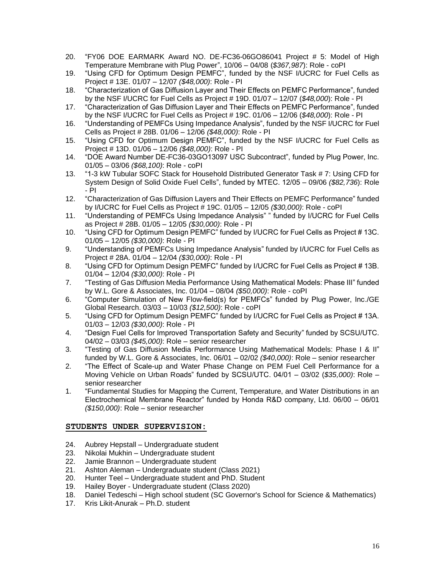- 20. "FY06 DOE EARMARK Award NO. DE-FC36-06GO86041 Project # 5: Model of High Temperature Membrane with Plug Power", 10/06 – 04/08 (*\$367,987*): Role - coPI
- 19. "Using CFD for Optimum Design PEMFC", funded by the NSF I/UCRC for Fuel Cells as Project # 13E. 01/07 – 12/07 *(\$48,000)*: Role - PI
- 18. "Characterization of Gas Diffusion Layer and Their Effects on PEMFC Performance", funded by the NSF I/UCRC for Fuel Cells as Project # 19D. 01/07 – 12/07 (*\$48,000*): Role - PI
- 17. "Characterization of Gas Diffusion Layer and Their Effects on PEMFC Performance", funded by the NSF I/UCRC for Fuel Cells as Project # 19C. 01/06 – 12/06 (*\$48,000*): Role - PI
- 16. "Understanding of PEMFCs Using Impedance Analysis", funded by the NSF I/UCRC for Fuel Cells as Project # 28B. 01/06 – 12/06 *(\$48,000)*: Role - PI
- 15. "Using CFD for Optimum Design PEMFC", funded by the NSF I/UCRC for Fuel Cells as Project # 13D. 01/06 – 12/06 *(\$48,000)*: Role - PI
- 14. "DOE Award Number DE-FC36-03GO13097 USC Subcontract", funded by Plug Power, Inc. 01/05 – 03/06 *(\$68,100)*: Role - coPI
- 13. "1-3 kW Tubular SOFC Stack for Household Distributed Generator Task # 7: Using CFD for System Design of Solid Oxide Fuel Cells", funded by MTEC. 12/05 – 09/06 *(\$82,736*): Role - PI
- 12. "Characterization of Gas Diffusion Layers and Their Effects on PEMFC Performance" funded by I/UCRC for Fuel Cells as Project # 19C. 01/05 – 12/05 *(\$30,000)*: Role - coPI
- 11. "Understanding of PEMFCs Using Impedance Analysis" " funded by I/UCRC for Fuel Cells as Project # 28B. 01/05 – 12/05 *(\$30,000)*: Role - PI
- 10. "Using CFD for Optimum Design PEMFC" funded by I/UCRC for Fuel Cells as Project # 13C. 01/05 – 12/05 *(\$30,000)*: Role - PI
- 9. "Understanding of PEMFCs Using Impedance Analysis" funded by I/UCRC for Fuel Cells as Project # 28A. 01/04 – 12/04 *(\$30,000)*: Role - PI
- 8. "Using CFD for Optimum Design PEMFC" funded by I/UCRC for Fuel Cells as Project # 13B. 01/04 – 12/04 *(\$30,000)*: Role - PI
- 7. "Testing of Gas Diffusion Media Performance Using Mathematical Models: Phase III" funded by W.L. Gore & Associates, Inc. 01/04 – 08/04 *(\$50,000)*: Role - coPI
- 6. "Computer Simulation of New Flow-field(s) for PEMFCs" funded by Plug Power, Inc./GE Global Research. 03/03 – 10/03 *(\$12,500)*: Role - coPI
- 5. "Using CFD for Optimum Design PEMFC" funded by I/UCRC for Fuel Cells as Project # 13A. 01/03 – 12/03 *(\$30,000)*: Role - PI
- 4. "Design Fuel Cells for Improved Transportation Safety and Security" funded by SCSU/UTC. 04/02 – 03/03 *(\$45,000)*: Role – senior researcher
- 3. "Testing of Gas Diffusion Media Performance Using Mathematical Models: Phase I & II" funded by W.L. Gore & Associates, Inc. 06/01 – 02/02 *(\$40,000)*: Role – senior researcher
- 2. "The Effect of Scale-up and Water Phase Change on PEM Fuel Cell Performance for a Moving Vehicle on Urban Roads" funded by SCSU/UTC. 04/01 – 03/02 (*\$35,000)*: Role – senior researcher
- 1. "Fundamental Studies for Mapping the Current, Temperature, and Water Distributions in an Electrochemical Membrane Reactor" funded by Honda R&D company, Ltd. 06/00 – 06/01 *(\$150,000)*: Role – senior researcher

## **STUDENTS UNDER SUPERVISION:**

- 24. Aubrey Hepstall Undergraduate student
- 23. Nikolai Mukhin Undergraduate student
- 22. Jamie Brannon Undergraduate student
- 21. Ashton Aleman Undergraduate student (Class 2021)
- 20. Hunter Teel Undergraduate student and PhD. Student
- 19. Hailey Boyer Undergraduate student (Class 2020)
- 18. Daniel Tedeschi High school student (SC Governor's School for Science & Mathematics)
- 17. Kris Likit-Anurak Ph.D. student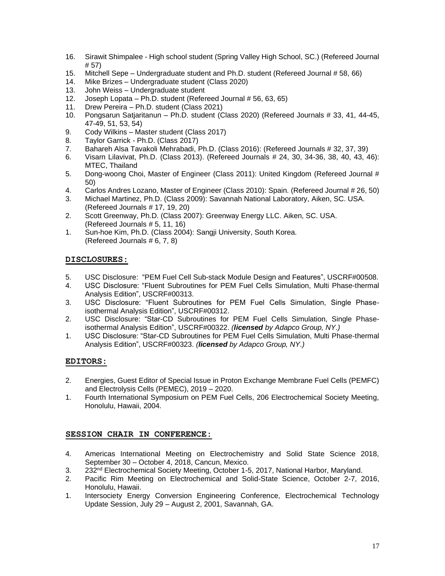- 16. Sirawit Shimpalee High school student (Spring Valley High School, SC.) (Refereed Journal # 57)
- 15. Mitchell Sepe Undergraduate student and Ph.D. student (Refereed Journal # 58, 66)
- 14. Mike Brizes Undergraduate student (Class 2020)
- 13. John Weiss Undergraduate student
- 12. Joseph Lopata Ph.D. student (Refereed Journal # 56, 63, 65)
- 11. Drew Pereira Ph.D. student (Class 2021)
- 10. Pongsarun Satjaritanun Ph.D. student (Class 2020) (Refereed Journals # 33, 41, 44-45, 47-49, 51, 53, 54)
- 9. Cody Wilkins Master student (Class 2017)
- 8. Taylor Garrick Ph.D. (Class 2017)
- 7. Bahareh Alsa Tavakoli Mehrabadi, Ph.D. (Class 2016): (Refereed Journals # 32, 37, 39)
- 6. Visarn Lilavivat, Ph.D. (Class 2013). (Refereed Journals # 24, 30, 34-36, 38, 40, 43, 46): MTEC, Thailand
- 5. Dong-woong Choi, Master of Engineer (Class 2011): United Kingdom (Refereed Journal # 50)
- 4. Carlos Andres Lozano, Master of Engineer (Class 2010): Spain. (Refereed Journal # 26, 50)
- 3. Michael Martinez, Ph.D. (Class 2009): Savannah National Laboratory, Aiken, SC. USA. (Refereed Journals # 17, 19, 20)
- 2. Scott Greenway, Ph.D. (Class 2007): Greenway Energy LLC. Aiken, SC. USA. (Refereed Journals # 5, 11, 16)
- 1. Sun-hoe Kim, Ph.D. (Class 2004): Sangji University, South Korea. (Refereed Journals # 6, 7, 8)

#### **DISCLOSURES:**

- 5. USC Disclosure: "PEM Fuel Cell Sub-stack Module Design and Features", USCRF#00508.
- 4. USC Disclosure: "Fluent Subroutines for PEM Fuel Cells Simulation, Multi Phase-thermal Analysis Edition", USCRF#00313.
- 3. USC Disclosure: "Fluent Subroutines for PEM Fuel Cells Simulation, Single Phaseisothermal Analysis Edition", USCRF#00312.
- 2. USC Disclosure: "Star-CD Subroutines for PEM Fuel Cells Simulation, Single Phaseisothermal Analysis Edition", USCRF#00322. *(licensed by Adapco Group, NY.)*
- 1. USC Disclosure: "Star-CD Subroutines for PEM Fuel Cells Simulation, Multi Phase-thermal Analysis Edition", USCRF#00323. *(licensed by Adapco Group, NY.)*

#### **EDITORS:**

- 2. Energies, Guest Editor of Special Issue in Proton Exchange Membrane Fuel Cells (PEMFC) and Electrolysis Cells (PEMEC), 2019 – 2020.
- 1. Fourth International Symposium on PEM Fuel Cells, 206 Electrochemical Society Meeting, Honolulu, Hawaii, 2004.

## **SESSION CHAIR IN CONFERENCE:**

- 4. Americas International Meeting on Electrochemistry and Solid State Science 2018, September 30 – October 4, 2018, Cancun, Mexico.
- 3. 232<sup>nd</sup> Electrochemical Society Meeting, October 1-5, 2017, National Harbor, Maryland.
- 2. Pacific Rim Meeting on Electrochemical and Solid-State Science, October 2-7, 2016, Honolulu, Hawaii.
- 1. Intersociety Energy Conversion Engineering Conference, Electrochemical Technology Update Session, July 29 – August 2, 2001, Savannah, GA.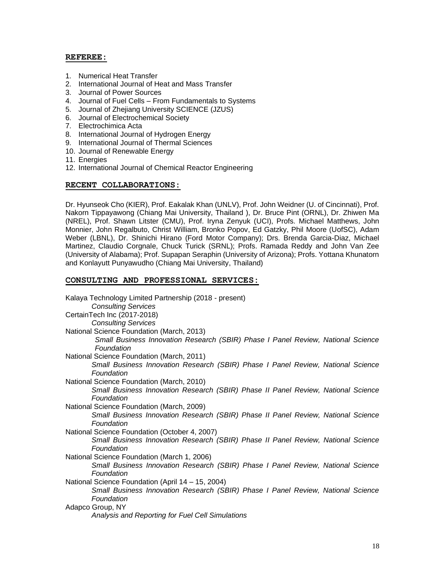#### **REFEREE:**

- 1. Numerical Heat Transfer
- 2. International Journal of Heat and Mass Transfer
- 3. Journal of Power Sources
- 4. Journal of Fuel Cells From Fundamentals to Systems
- 5. Journal of Zhejiang University SCIENCE (JZUS)
- 6. Journal of Electrochemical Society
- 7. Electrochimica Acta
- 8. International Journal of Hydrogen Energy
- 9. International Journal of Thermal Sciences
- 10. Journal of Renewable Energy
- 11. Energies
- 12. International Journal of Chemical Reactor Engineering

#### **RECENT COLLABORATIONS:**

Dr. Hyunseok Cho (KIER), Prof. Eakalak Khan (UNLV), Prof. John Weidner (U. of Cincinnati), Prof. Nakorn Tippayawong (Chiang Mai University, Thailand ), Dr. Bruce Pint (ORNL), Dr. Zhiwen Ma (NREL), Prof. Shawn Litster (CMU), Prof. Iryna Zenyuk (UCI), Profs. Michael Matthews, John Monnier, John Regalbuto, Christ William, Bronko Popov, Ed Gatzky, Phil Moore (UofSC), Adam Weber (LBNL), Dr. Shinichi Hirano (Ford Motor Company); Drs. Brenda Garcia-Diaz, Michael Martinez, Claudio Corgnale, Chuck Turick (SRNL); Profs. Ramada Reddy and John Van Zee (University of Alabama); Prof. Supapan Seraphin (University of Arizona); Profs. Yottana Khunatorn and Konlayutt Punyawudho (Chiang Mai University, Thailand)

#### **CONSULTING AND PROFESSIONAL SERVICES:**

| Kalaya Technology Limited Partnership (2018 - present)                                         |  |  |  |
|------------------------------------------------------------------------------------------------|--|--|--|
| <b>Consulting Services</b>                                                                     |  |  |  |
| CertainTech Inc (2017-2018)                                                                    |  |  |  |
| <b>Consulting Services</b>                                                                     |  |  |  |
| National Science Foundation (March, 2013)                                                      |  |  |  |
| Small Business Innovation Research (SBIR) Phase I Panel Review, National Science<br>Foundation |  |  |  |
| National Science Foundation (March, 2011)                                                      |  |  |  |
| Small Business Innovation Research (SBIR) Phase I Panel Review, National Science               |  |  |  |
| Foundation                                                                                     |  |  |  |
| National Science Foundation (March, 2010)                                                      |  |  |  |
| Small Business Innovation Research (SBIR) Phase II Panel Review, National Science              |  |  |  |
| Foundation                                                                                     |  |  |  |
| National Science Foundation (March, 2009)                                                      |  |  |  |
| Small Business Innovation Research (SBIR) Phase II Panel Review, National Science              |  |  |  |
| Foundation                                                                                     |  |  |  |
| National Science Foundation (October 4, 2007)                                                  |  |  |  |
| Small Business Innovation Research (SBIR) Phase II Panel Review, National Science              |  |  |  |
| Foundation                                                                                     |  |  |  |
| National Science Foundation (March 1, 2006)                                                    |  |  |  |
| Small Business Innovation Research (SBIR) Phase I Panel Review, National Science               |  |  |  |
| Foundation                                                                                     |  |  |  |
| National Science Foundation (April 14 - 15, 2004)                                              |  |  |  |
| Small Business Innovation Research (SBIR) Phase I Panel Review, National Science               |  |  |  |
| Foundation                                                                                     |  |  |  |
| Adapco Group, NY                                                                               |  |  |  |
| Analysis and Reporting for Fuel Cell Simulations                                               |  |  |  |